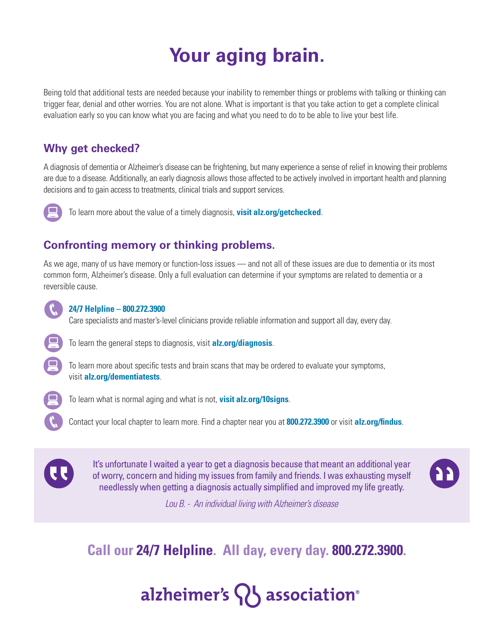## **Your aging brain.**

Being told that additional tests are needed because your inability to remember things or problems with talking or thinking can trigger fear, denial and other worries. You are not alone. What is important is that you take action to get a complete clinical evaluation early so you can know what you are facing and what you need to do to be able to live your best life.

### **Why get checked?**

A diagnosis of dementia or Alzheimer's disease can be frightening, but many experience a sense of relief in knowing their problems are due to a disease. Additionally, an early diagnosis allows those affected to be actively involved in important health and planning decisions and to gain access to treatments, clinical trials and support services.



To learn more about the value of a timely diagnosis, **visit alz.org/getchecked**.

### **Confronting memory or thinking problems.**

As we age, many of us have memory or function-loss issues — and not all of these issues are due to dementia or its most common form, Alzheimer's disease. Only a full evaluation can determine if your symptoms are related to dementia or a reversible cause.



#### **24/7 Helpline – 800.272.3900**

Care specialists and master's-level clinicians provide reliable information and support all day, every day.



To learn the general steps to diagnosis, visit **alz.org/diagnosis**.



To learn more about specific tests and brain scans that may be ordered to evaluate your symptoms, visit **alz.org/dementiatests**.



To learn what is normal aging and what is not, **visit alz.org/10signs**.

Contact your local chapter to learn more. Find a chapter near you at **800.272.3900** or visit **alz.org/findus**.



It's unfortunate I waited a year to get a diagnosis because that meant an additional year of worry, concern and hiding my issues from family and friends. I was exhausting myself needlessly when getting a diagnosis actually simplified and improved my life greatly.



*Lou B. - An individual living with Alzheimer's disease*

**Call our 24/7 Helpline. All day, every day. 800.272.3900.**

# alzheimer's  $\{ \}$  association<sup>®</sup>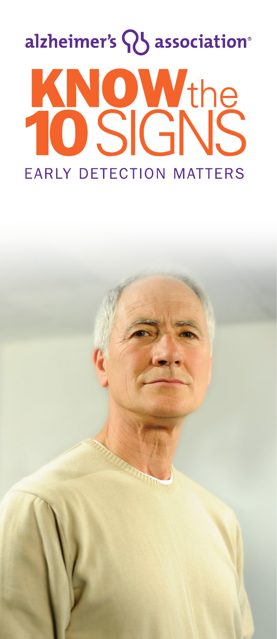# alzheimer's QJ association® KNOWthe KI **EARLY DETECTION MATTERS**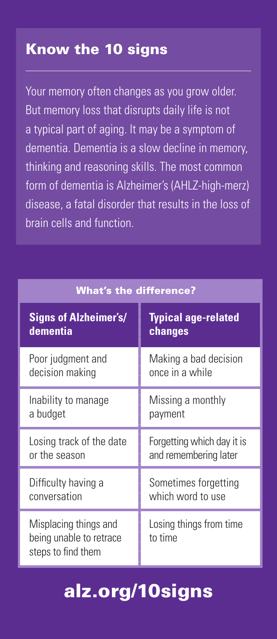### Know the 10 signs

Your memory often changes as you grow older. But memory loss that disrupts daily life is not a typical part of aging. It may be a symptom of dementia. Dementia is a slow decline in memory, thinking and reasoning skills. The most common form of dementia is Alzheimer's (AHLZ-high-merz) disease, a fatal disorder that results in the loss of brain cells and function.

| <b>What's the difference?</b>                                          |                                    |
|------------------------------------------------------------------------|------------------------------------|
| <b>Signs of Alzheimer's/</b>                                           | <b>Typical age-related</b>         |
| dementia                                                               | changes                            |
| Poor judgment and                                                      | Making a bad decision              |
| decision making                                                        | once in a while                    |
| Inability to manage                                                    | Missing a monthly                  |
| a budget                                                               | payment                            |
| Losing track of the date                                               | Forgetting which day it is         |
| or the season                                                          | and remembering later              |
| Difficulty having a                                                    | Sometimes forgetting               |
| conversation                                                           | which word to use                  |
| Misplacing things and<br>being unable to retrace<br>steps to find them | Losing things from time<br>to time |

## alz.org/10signs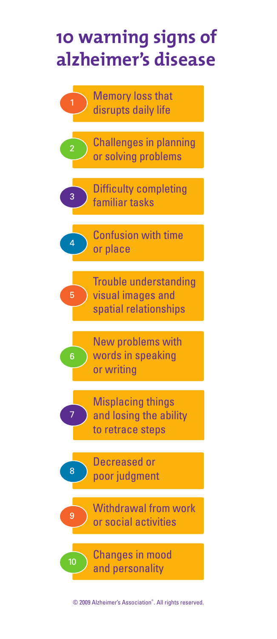## 10 warning signs of alzheimer's disease

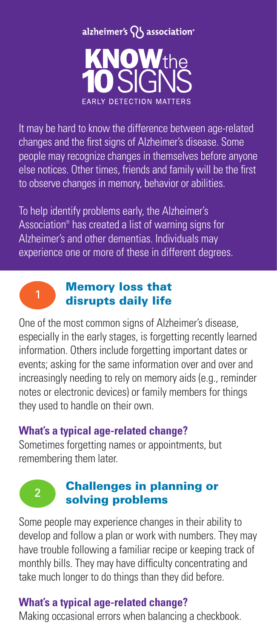

It may be hard to know the difference between age-related changes and the first signs of Alzheimer's disease. Some people may recognize changes in themselves before anyone else notices. Other times, friends and family will be the first to observe changes in memory, behavior or abilities.

To help identify problems early, the Alzheimer's Association® has created a list of warning signs for Alzheimer's and other dementias. Individuals may experience one or more of these in different degrees.



 $\mathcal{P}$ 

#### Memory loss that disrupts daily life

One of the most common signs of Alzheimer's disease, especially in the early stages, is forgetting recently learned information. Others include forgetting important dates or events; asking for the same information over and over and increasingly needing to rely on memory aids (e.g., reminder notes or electronic devices) or family members for things they used to handle on their own.

#### **What's a typical age-related change?**

Sometimes forgetting names or appointments, but remembering them later.

#### Challenges in planning or solving problems

Some people may experience changes in their ability to develop and follow a plan or work with numbers. They may have trouble following a familiar recipe or keeping track of monthly bills. They may have difficulty concentrating and take much longer to do things than they did before.

#### **What's a typical age-related change?**

Making occasional errors when balancing a checkbook.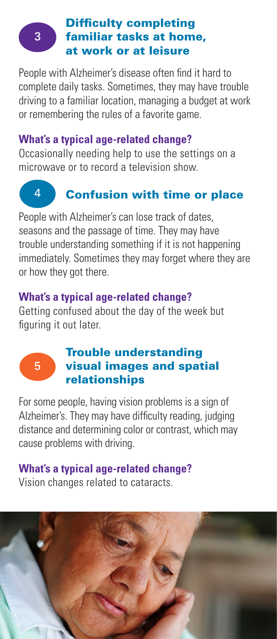## 3

#### Difficulty completing familiar tasks at home, at work or at leisure

People with Alzheimer's disease often find it hard to complete daily tasks. Sometimes, they may have trouble driving to a familiar location, managing a budget at work or remembering the rules of a favorite game.

#### **What's a typical age-related change?**

Occasionally needing help to use the settings on a microwave or to record a television show.

## 4

#### Confusion with time or place

People with Alzheimer's can lose track of dates, seasons and the passage of time. They may have trouble understanding something if it is not happening immediately. Sometimes they may forget where they are or how they got there.

#### **What's a typical age-related change?**

Getting confused about the day of the week but figuring it out later.

# 5

#### Trouble understanding visual images and spatial relationships

For some people, having vision problems is a sign of Alzheimer's. They may have difficulty reading, judging distance and determining color or contrast, which may cause problems with driving.

#### **What's a typical age-related change?**  Vision changes related to cataracts.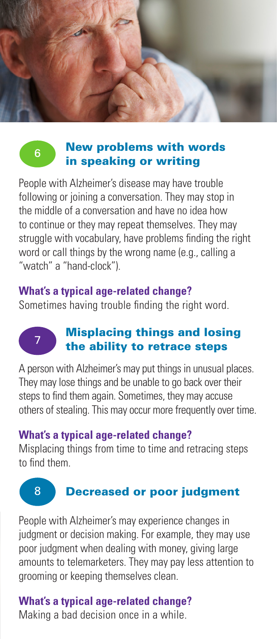



7

#### New problems with words in speaking or writing

People with Alzheimer's disease may have trouble following or joining a conversation. They may stop in the middle of a conversation and have no idea how to continue or they may repeat themselves. They may struggle with vocabulary, have problems finding the right word or call things by the wrong name (e.g., calling a "watch" a "hand-clock").

#### **What's a typical age-related change?**

Sometimes having trouble finding the right word.

#### Misplacing things and losing the ability to retrace steps

A person with Alzheimer's may put things in unusual places. They may lose things and be unable to go back over their steps to find them again. Sometimes, they may accuse others of stealing. This may occur more frequently over time.

#### **What's a typical age-related change?**

Misplacing things from time to time and retracing steps to find them.

#### 8 Decreased or poor judgment

People with Alzheimer's may experience changes in judgment or decision making. For example, they may use poor judgment when dealing with money, giving large amounts to telemarketers. They may pay less attention to grooming or keeping themselves clean.

#### **What's a typical age-related change?**

Making a bad decision once in a while.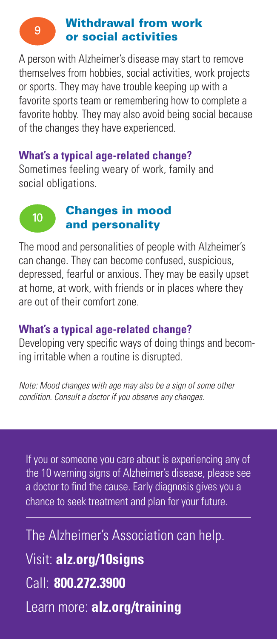#### Withdrawal from work or social activities

 $\overline{9}$ 

A person with Alzheimer's disease may start to remove themselves from hobbies, social activities, work projects or sports. They may have trouble keeping up with a favorite sports team or remembering how to complete a favorite hobby. They may also avoid being social because of the changes they have experienced.

#### **What's a typical age-related change?**

Sometimes feeling weary of work, family and social obligations.

#### Changes in mood  $10$ and personality

The mood and personalities of people with Alzheimer's can change. They can become confused, suspicious, depressed, fearful or anxious. They may be easily upset at home, at work, with friends or in places where they are out of their comfort zone.

#### **What's a typical age-related change?**

Developing very specific ways of doing things and becoming irritable when a routine is disrupted.

*Note: Mood changes with age may also be a sign of some other condition. Consult a doctor if you observe any changes.*

If you or someone you care about is experiencing any of the 10 warning signs of Alzheimer's disease, please see a doctor to find the cause. Early diagnosis gives you a chance to seek treatment and plan for your future.

The Alzheimer's Association can help. Visit: **alz.org/10signs** Call: **800.272.3900** Learn more: **alz.org/training**